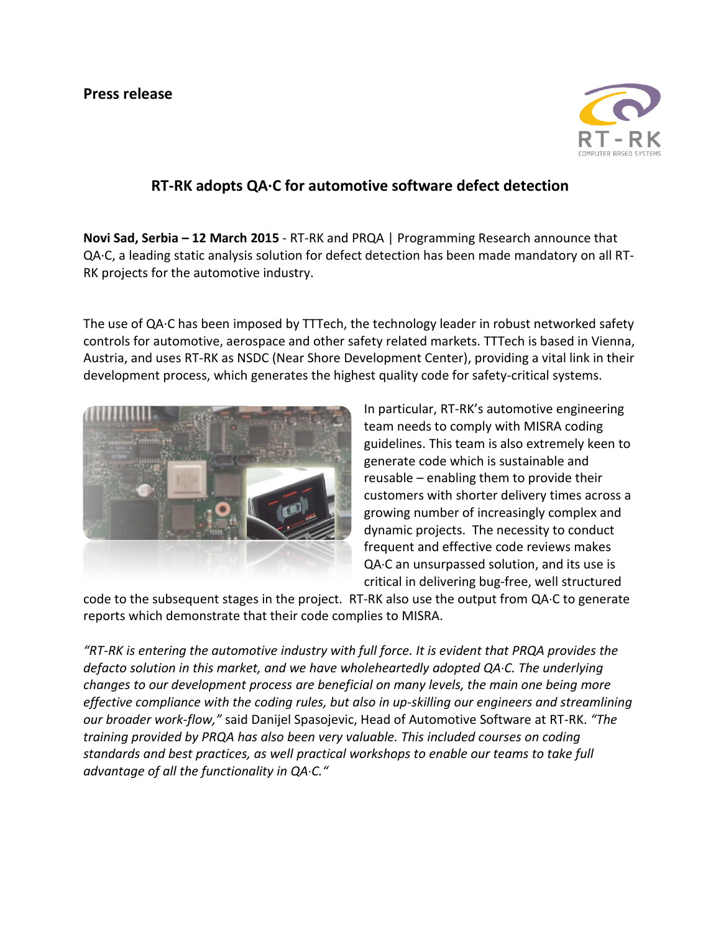

# **RT-RK adopts QA·C for automotive software defect detection**

**Novi Sad, Serbia – 12 March 2015** - RT-RK and PRQA | Programming Research announce that QA·C, a leading static analysis solution for defect detection has been made mandatory on all RT-RK projects for the automotive industry.

The use of QA·C has been imposed by TTTech, the technology leader in robust networked safety controls for automotive, aerospace and other safety related markets. TTTech is based in Vienna, Austria, and uses RT-RK as NSDC (Near Shore Development Center), providing a vital link in their development process, which generates the highest quality code for safety-critical systems.



In particular, RT-RK's automotive engineering team needs to comply with MISRA coding guidelines. This team is also extremely keen to generate code which is sustainable and reusable – enabling them to provide their customers with shorter delivery times across a growing number of increasingly complex and dynamic projects. The necessity to conduct frequent and effective code reviews makes QA·C an unsurpassed solution, and its use is critical in delivering bug-free, well structured

code to the subsequent stages in the project. RT-RK also use the output from QA·C to generate reports which demonstrate that their code complies to MISRA.

*"RT-RK is entering the automotive industry with full force. It is evident that PRQA provides the defacto solution in this market, and we have wholeheartedly adopted QA*·*C. The underlying changes to our development process are beneficial on many levels, the main one being more effective compliance with the coding rules, but also in up-skilling our engineers and streamlining our broader work-flow,"* said Danijel Spasojevic, Head of Automotive Software at RT-RK. *"The training provided by PRQA has also been very valuable. This included courses on coding standards and best practices, as well practical workshops to enable our teams to take full advantage of all the functionality in QA*·*C."*